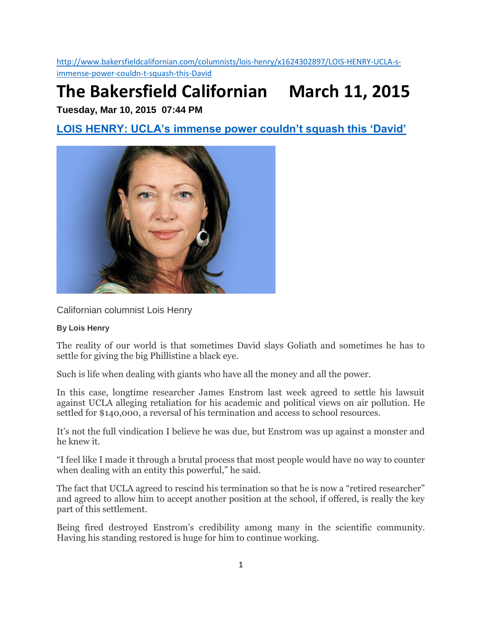[http://www.bakersfieldcalifornian.com/columnists/lois-henry/x1624302897/LOIS-HENRY-UCLA-s](http://www.bakersfieldcalifornian.com/columnists/lois-henry/x1624302897/LOIS-HENRY-UCLA-s-immense-power-couldn-t-squash-this-David)[immense-power-couldn-t-squash-this-David](http://www.bakersfieldcalifornian.com/columnists/lois-henry/x1624302897/LOIS-HENRY-UCLA-s-immense-power-couldn-t-squash-this-David)

## **The Bakersfield Californian March 11, 2015**

**Tuesday, Mar 10, 2015 07:44 PM**

**[LOIS HENRY: UCLA's immense power couldn't squash this 'David'](http://www.bakersfieldcalifornian.com/columnists/lois-henry/x1624302897/LOIS-HENRY-UCLA-s-immense-power-couldn-t-squash-this-David)**



Californian columnist Lois Henry

## **By Lois Henry**

The reality of our world is that sometimes David slays Goliath and sometimes he has to settle for giving the big Phillistine a black eye.

Such is life when dealing with giants who have all the money and all the power.

In this case, longtime researcher James Enstrom last week agreed to settle his lawsuit against UCLA alleging retaliation for his academic and political views on air pollution. He settled for \$140,000, a reversal of his termination and access to school resources.

It's not the full vindication I believe he was due, but Enstrom was up against a monster and he knew it.

"I feel like I made it through a brutal process that most people would have no way to counter when dealing with an entity this powerful," he said.

The fact that UCLA agreed to rescind his termination so that he is now a "retired researcher" and agreed to allow him to accept another position at the school, if offered, is really the key part of this settlement.

Being fired destroyed Enstrom's credibility among many in the scientific community. Having his standing restored is huge for him to continue working.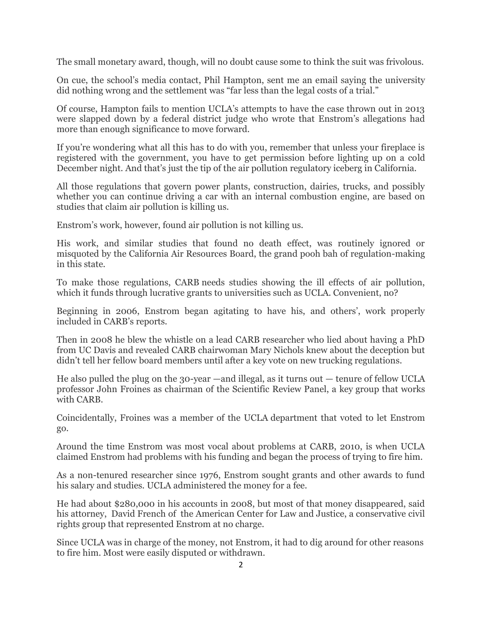The small monetary award, though, will no doubt cause some to think the suit was frivolous.

On cue, the school's media contact, Phil Hampton, sent me an email saying the university did nothing wrong and the settlement was "far less than the legal costs of a trial."

Of course, Hampton fails to mention UCLA's attempts to have the case thrown out in 2013 were slapped down by a federal district judge who wrote that Enstrom's allegations had more than enough significance to move forward.

If you're wondering what all this has to do with you, remember that unless your fireplace is registered with the government, you have to get permission before lighting up on a cold December night. And that's just the tip of the air pollution regulatory iceberg in California.

All those regulations that govern power plants, construction, dairies, trucks, and possibly whether you can continue driving a car with an internal combustion engine, are based on studies that claim air pollution is killing us.

Enstrom's work, however, found air pollution is not killing us.

His work, and similar studies that found no death effect, was routinely ignored or misquoted by the California Air Resources Board, the grand pooh bah of regulation-making in this state.

To make those regulations, CARB needs studies showing the ill effects of air pollution, which it funds through lucrative grants to universities such as UCLA. Convenient, no?

Beginning in 2006, Enstrom began agitating to have his, and others', work properly included in CARB's reports.

Then in 2008 he blew the whistle on a lead CARB researcher who lied about having a PhD from UC Davis and revealed CARB chairwoman Mary Nichols knew about the deception but didn't tell her fellow board members until after a key vote on new trucking regulations.

He also pulled the plug on the 30-year —and illegal, as it turns out — tenure of fellow UCLA professor John Froines as chairman of the Scientific Review Panel, a key group that works with CARB.

Coincidentally, Froines was a member of the UCLA department that voted to let Enstrom go.

Around the time Enstrom was most vocal about problems at CARB, 2010, is when UCLA claimed Enstrom had problems with his funding and began the process of trying to fire him.

As a non-tenured researcher since 1976, Enstrom sought grants and other awards to fund his salary and studies. UCLA administered the money for a fee.

He had about \$280,000 in his accounts in 2008, but most of that money disappeared, said his attorney, David French of the American Center for Law and Justice, a conservative civil rights group that represented Enstrom at no charge.

Since UCLA was in charge of the money, not Enstrom, it had to dig around for other reasons to fire him. Most were easily disputed or withdrawn.